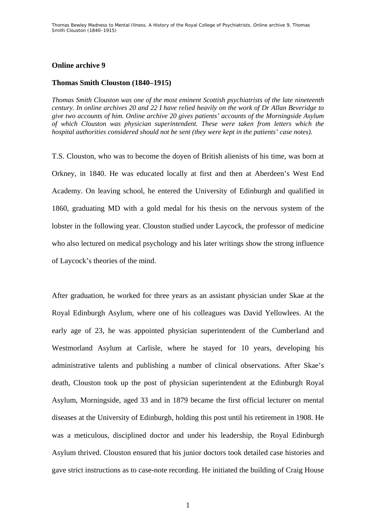## **Online archive 9**

## **Thomas Smith Clouston (1840–1915)**

*Thomas Smith Clouston was one of the most eminent Scottish psychiatrists of the late nineteenth century. In online archives 20 and 22 I have relied heavily on the work of Dr Allan Beveridge to give two accounts of him. Online archive 20 gives patients' accounts of the Morningside Asylum of which Clouston was physician superintendent. These were taken from letters which the hospital authorities considered should not be sent (they were kept in the patients' case notes).* 

T.S. Clouston, who was to become the doyen of British alienists of his time, was born at Orkney, in 1840. He was educated locally at first and then at Aberdeen's West End Academy. On leaving school, he entered the University of Edinburgh and qualified in 1860, graduating MD with a gold medal for his thesis on the nervous system of the lobster in the following year. Clouston studied under Laycock, the professor of medicine who also lectured on medical psychology and his later writings show the strong influence of Laycock's theories of the mind.

After graduation, he worked for three years as an assistant physician under Skae at the Royal Edinburgh Asylum, where one of his colleagues was David Yellowlees. At the early age of 23, he was appointed physician superintendent of the Cumberland and Westmorland Asylum at Carlisle, where he stayed for 10 years, developing his administrative talents and publishing a number of clinical observations. After Skae's death, Clouston took up the post of physician superintendent at the Edinburgh Royal Asylum, Morningside, aged 33 and in 1879 became the first official lecturer on mental diseases at the University of Edinburgh, holding this post until his retirement in 1908. He was a meticulous, disciplined doctor and under his leadership, the Royal Edinburgh Asylum thrived. Clouston ensured that his junior doctors took detailed case histories and gave strict instructions as to case-note recording. He initiated the building of Craig House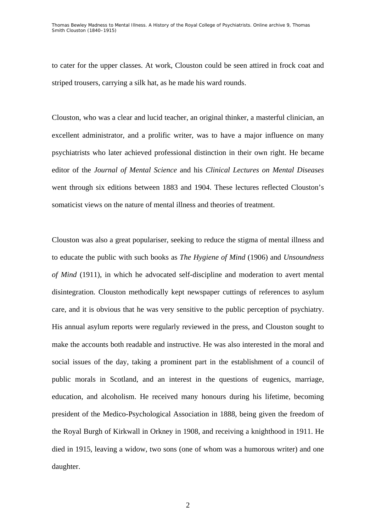to cater for the upper classes. At work, Clouston could be seen attired in frock coat and striped trousers, carrying a silk hat, as he made his ward rounds.

Clouston, who was a clear and lucid teacher, an original thinker, a masterful clinician, an excellent administrator, and a prolific writer, was to have a major influence on many psychiatrists who later achieved professional distinction in their own right. He became editor of the *Journal of Mental Science* and his *Clinical Lectures on Mental Diseases* went through six editions between 1883 and 1904. These lectures reflected Clouston's somaticist views on the nature of mental illness and theories of treatment.

Clouston was also a great populariser, seeking to reduce the stigma of mental illness and to educate the public with such books as *The Hygiene of Mind* (1906) and *Unsoundness of Mind* (1911), in which he advocated self-discipline and moderation to avert mental disintegration. Clouston methodically kept newspaper cuttings of references to asylum care, and it is obvious that he was very sensitive to the public perception of psychiatry. His annual asylum reports were regularly reviewed in the press, and Clouston sought to make the accounts both readable and instructive. He was also interested in the moral and social issues of the day, taking a prominent part in the establishment of a council of public morals in Scotland, and an interest in the questions of eugenics, marriage, education, and alcoholism. He received many honours during his lifetime, becoming president of the Medico-Psychological Association in 1888, being given the freedom of the Royal Burgh of Kirkwall in Orkney in 1908, and receiving a knighthood in 1911. He died in 1915, leaving a widow, two sons (one of whom was a humorous writer) and one daughter.